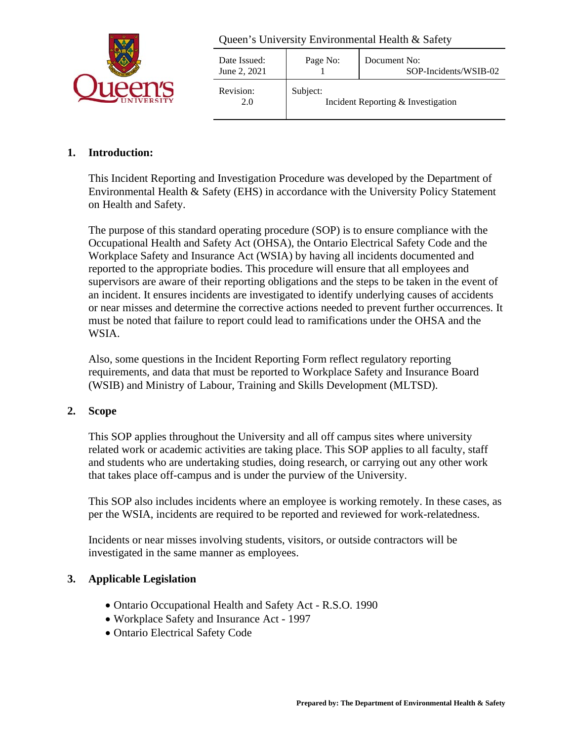

| Date Issued:<br>June 2, 2021 | Page No: | Document No:<br>SOP-Incidents/WSIB-02 |
|------------------------------|----------|---------------------------------------|
| Revision:<br>2.0             | Subject: | Incident Reporting & Investigation    |

## **1. Introduction:**

This Incident Reporting and Investigation Procedure was developed by the Department of Environmental Health & Safety (EHS) in accordance with the University Policy Statement on Health and Safety.

The purpose of this standard operating procedure (SOP) is to ensure compliance with the Occupational Health and Safety Act (OHSA), the Ontario Electrical Safety Code and the Workplace Safety and Insurance Act (WSIA) by having all incidents documented and reported to the appropriate bodies. This procedure will ensure that all employees and supervisors are aware of their reporting obligations and the steps to be taken in the event of an incident. It ensures incidents are investigated to identify underlying causes of accidents or near misses and determine the corrective actions needed to prevent further occurrences. It must be noted that failure to report could lead to ramifications under the OHSA and the WSIA.

Also, some questions in the Incident Reporting Form reflect regulatory reporting requirements, and data that must be reported to Workplace Safety and Insurance Board (WSIB) and Ministry of Labour, Training and Skills Development (MLTSD).

## **2. Scope**

This SOP applies throughout the University and all off campus sites where university related work or academic activities are taking place. This SOP applies to all faculty, staff and students who are undertaking studies, doing research, or carrying out any other work that takes place off-campus and is under the purview of the University.

This SOP also includes incidents where an employee is working remotely. In these cases, as per the WSIA, incidents are required to be reported and reviewed for work-relatedness.

Incidents or near misses involving students, visitors, or outside contractors will be investigated in the same manner as employees.

## **3. Applicable Legislation**

- Ontario Occupational Health and Safety Act R.S.O. 1990
- Workplace Safety and Insurance Act 1997
- Ontario Electrical Safety Code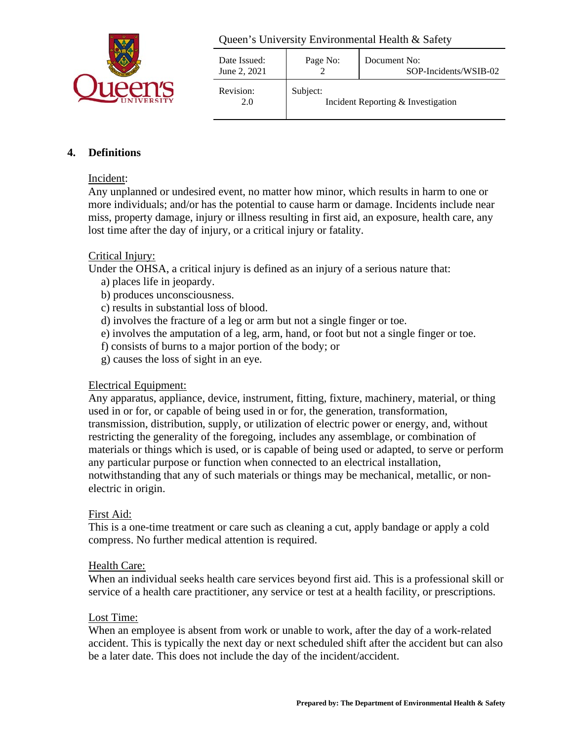

| Date Issued:<br>June 2, 2021 | Page No: | Document No:<br>SOP-Incidents/WSIB-02 |
|------------------------------|----------|---------------------------------------|
| Revision:<br>2.0             | Subject: | Incident Reporting & Investigation    |

## **4. Definitions**

#### Incident:

Any unplanned or undesired event, no matter how minor, which results in harm to one or more individuals; and/or has the potential to cause harm or damage. Incidents include near miss, property damage, injury or illness resulting in first aid, an exposure, health care, any lost time after the day of injury, or a critical injury or fatality.

#### Critical Injury:

Under the OHSA, a critical injury is defined as an injury of a serious nature that:

- a) places life in jeopardy.
- b) produces unconsciousness.
- c) results in substantial loss of blood.
- d) involves the fracture of a leg or arm but not a single finger or toe.
- e) involves the amputation of a leg, arm, hand, or foot but not a single finger or toe.
- f) consists of burns to a major portion of the body; or
- g) causes the loss of sight in an eye.

#### Electrical Equipment:

Any apparatus, appliance, device, instrument, fitting, fixture, machinery, material, or thing used in or for, or capable of being used in or for, the generation, transformation, transmission, distribution, supply, or utilization of electric power or energy, and, without restricting the generality of the foregoing, includes any assemblage, or combination of materials or things which is used, or is capable of being used or adapted, to serve or perform any particular purpose or function when connected to an electrical installation, notwithstanding that any of such materials or things may be mechanical, metallic, or nonelectric in origin.

#### First Aid:

This is a one-time treatment or care such as cleaning a cut, apply bandage or apply a cold compress. No further medical attention is required.

#### Health Care:

When an individual seeks health care services beyond first aid. This is a professional skill or service of a health care practitioner, any service or test at a health facility, or prescriptions.

#### Lost Time:

When an employee is absent from work or unable to work, after the day of a work-related accident. This is typically the next day or next scheduled shift after the accident but can also be a later date. This does not include the day of the incident/accident.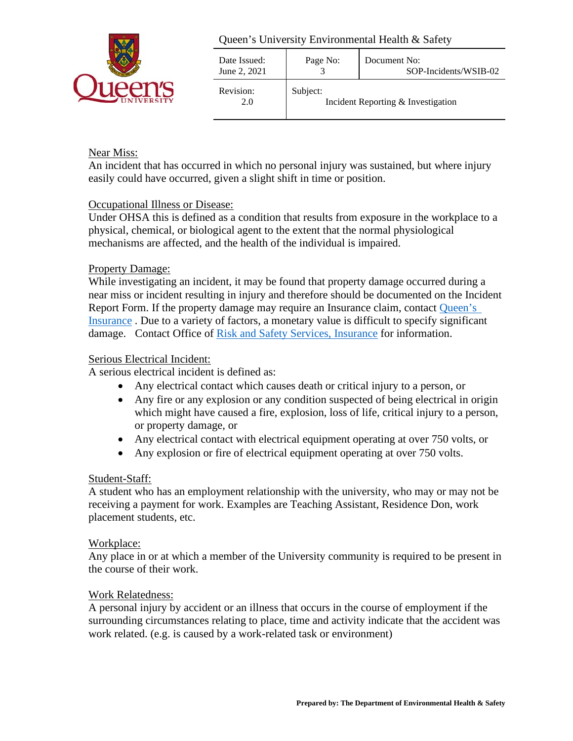

| Date Issued:<br>June 2, 2021 | Page No: | Document No:<br>SOP-Incidents/WSIB-02 |
|------------------------------|----------|---------------------------------------|
| Revision:<br>2.0             | Subject: | Incident Reporting & Investigation    |

## Near Miss:

An incident that has occurred in which no personal injury was sustained, but where injury easily could have occurred, given a slight shift in time or position.

#### Occupational Illness or Disease:

Under OHSA this is defined as a condition that results from exposure in the workplace to a physical, chemical, or biological agent to the extent that the normal physiological mechanisms are affected, and the health of the individual is impaired.

#### Property Damage:

While investigating an incident, it may be found that property damage occurred during a near miss or incident resulting in injury and therefore should be documented on the Incident Report Form. If the property damage may require an Insurance claim, contact [Queen's](https://www.queensu.ca/irm/)  [Insurance](https://www.queensu.ca/irm/) . Due to a variety of factors, a monetary value is difficult to specify significant damage. Contact Office of [Risk and Safety Services, Insurance](https://www.queensu.ca/irm/) for information.

#### Serious Electrical Incident:

A serious electrical incident is defined as:

- Any electrical contact which causes death or critical injury to a person, or
- Any fire or any explosion or any condition suspected of being electrical in origin which might have caused a fire, explosion, loss of life, critical injury to a person, or property damage, or
- Any electrical contact with electrical equipment operating at over 750 volts, or
- Any explosion or fire of electrical equipment operating at over 750 volts.

#### Student-Staff:

A student who has an employment relationship with the university, who may or may not be receiving a payment for work. Examples are Teaching Assistant, Residence Don, work placement students, etc.

#### Workplace:

Any place in or at which a member of the University community is required to be present in the course of their work.

#### Work Relatedness:

A personal injury by accident or an illness that occurs in the course of employment if the surrounding circumstances relating to place, time and activity indicate that the accident was work related. (e.g. is caused by a work-related task or environment)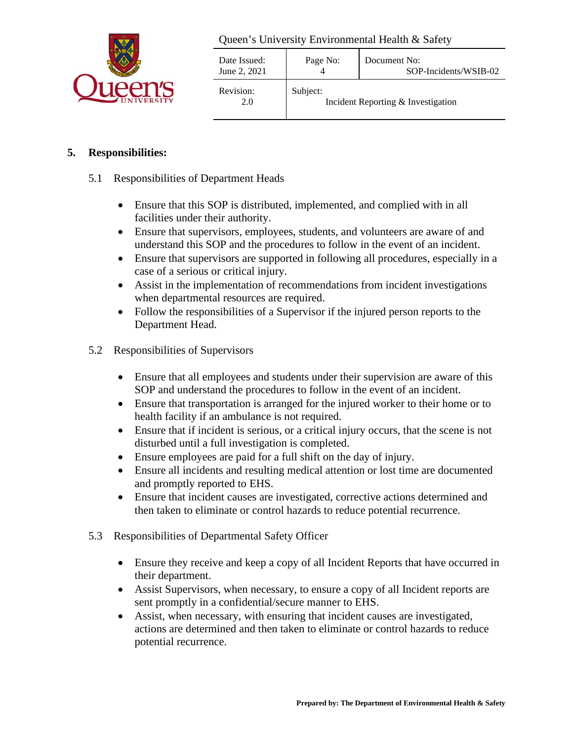

| Date Issued:<br>June 2, 2021 | Page No: | Document No:<br>SOP-Incidents/WSIB-02 |
|------------------------------|----------|---------------------------------------|
| Revision:<br>2.0             | Subject: | Incident Reporting & Investigation    |

# **5. Responsibilities:**

#### 5.1 Responsibilities of Department Heads

- Ensure that this SOP is distributed, implemented, and complied with in all facilities under their authority.
- Ensure that supervisors, employees, students, and volunteers are aware of and understand this SOP and the procedures to follow in the event of an incident.
- Ensure that supervisors are supported in following all procedures, especially in a case of a serious or critical injury.
- Assist in the implementation of recommendations from incident investigations when departmental resources are required.
- Follow the responsibilities of a Supervisor if the injured person reports to the Department Head.
- 5.2 Responsibilities of Supervisors
	- Ensure that all employees and students under their supervision are aware of this SOP and understand the procedures to follow in the event of an incident.
	- Ensure that transportation is arranged for the injured worker to their home or to health facility if an ambulance is not required.
	- Ensure that if incident is serious, or a critical injury occurs, that the scene is not disturbed until a full investigation is completed.
	- Ensure employees are paid for a full shift on the day of injury.
	- Ensure all incidents and resulting medical attention or lost time are documented and promptly reported to EHS.
	- Ensure that incident causes are investigated, corrective actions determined and then taken to eliminate or control hazards to reduce potential recurrence.
- 5.3 Responsibilities of Departmental Safety Officer
	- Ensure they receive and keep a copy of all Incident Reports that have occurred in their department.
	- Assist Supervisors, when necessary, to ensure a copy of all Incident reports are sent promptly in a confidential/secure manner to EHS.
	- Assist, when necessary, with ensuring that incident causes are investigated, actions are determined and then taken to eliminate or control hazards to reduce potential recurrence.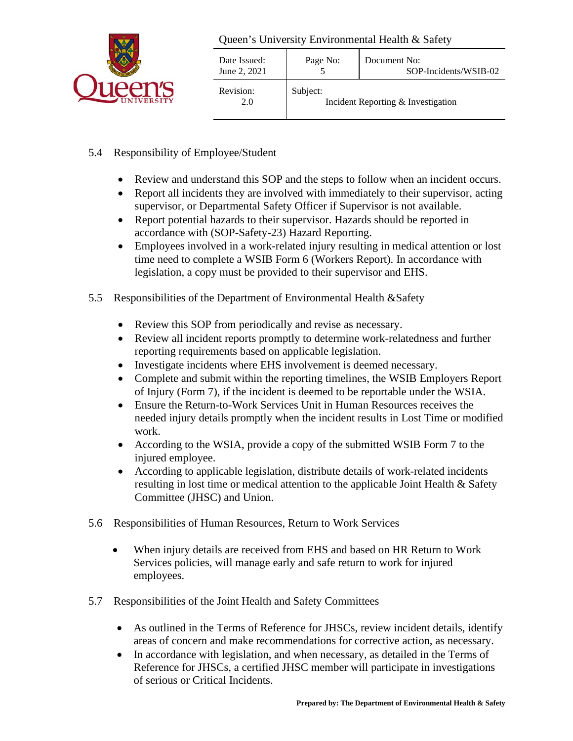

| Date Issued:<br>June 2, 2021 | Page No: | Document No:<br>SOP-Incidents/WSIB-02 |
|------------------------------|----------|---------------------------------------|
| Revision:<br>2.0             | Subject: | Incident Reporting & Investigation    |

- 5.4 Responsibility of Employee/Student
	- Review and understand this SOP and the steps to follow when an incident occurs.
	- Report all incidents they are involved with immediately to their supervisor, acting supervisor, or Departmental Safety Officer if Supervisor is not available.
	- Report potential hazards to their supervisor. Hazards should be reported in accordance with (SOP-Safety-23) Hazard Reporting.
	- Employees involved in a work-related injury resulting in medical attention or lost time need to complete a WSIB Form 6 (Workers Report). In accordance with legislation, a copy must be provided to their supervisor and EHS.
- 5.5 Responsibilities of the Department of Environmental Health &Safety
	- Review this SOP from periodically and revise as necessary.
	- Review all incident reports promptly to determine work-relatedness and further reporting requirements based on applicable legislation.
	- Investigate incidents where EHS involvement is deemed necessary.
	- Complete and submit within the reporting timelines, the WSIB Employers Report of Injury (Form 7), if the incident is deemed to be reportable under the WSIA.
	- Ensure the Return-to-Work Services Unit in Human Resources receives the needed injury details promptly when the incident results in Lost Time or modified work.
	- According to the WSIA, provide a copy of the submitted WSIB Form 7 to the injured employee.
	- According to applicable legislation, distribute details of work-related incidents resulting in lost time or medical attention to the applicable Joint Health & Safety Committee (JHSC) and Union.
- 5.6 Responsibilities of Human Resources, Return to Work Services
	- When injury details are received from EHS and based on HR Return to Work Services policies, will manage early and safe return to work for injured employees.
- 5.7 Responsibilities of the Joint Health and Safety Committees
	- As outlined in the Terms of Reference for JHSCs, review incident details, identify areas of concern and make recommendations for corrective action, as necessary.
	- In accordance with legislation, and when necessary, as detailed in the Terms of Reference for JHSCs, a certified JHSC member will participate in investigations of serious or Critical Incidents.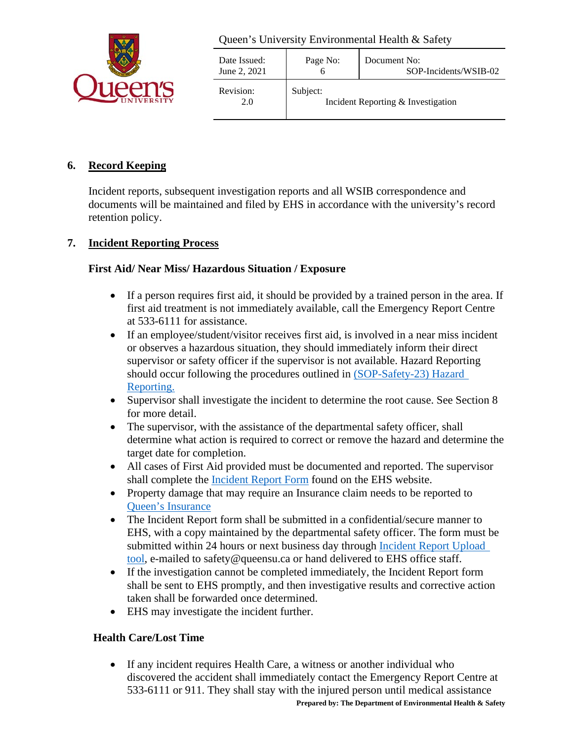

| Date Issued:<br>June 2, 2021 | Page No: | Document No:<br>SOP-Incidents/WSIB-02 |
|------------------------------|----------|---------------------------------------|
| Revision:<br>2.0             | Subject: | Incident Reporting & Investigation    |

## **6. Record Keeping**

Incident reports, subsequent investigation reports and all WSIB correspondence and documents will be maintained and filed by EHS in accordance with the university's record retention policy.

## **7. Incident Reporting Process**

## **First Aid/ Near Miss/ Hazardous Situation / Exposure**

- If a person requires first aid, it should be provided by a trained person in the area. If first aid treatment is not immediately available, call the Emergency Report Centre at 533-6111 for assistance.
- If an employee/student/visitor receives first aid, is involved in a near miss incident or observes a hazardous situation, they should immediately inform their direct supervisor or safety officer if the supervisor is not available. Hazard Reporting should occur following the procedures outlined in [\(SOP-Safety-23\) Hazard](https://safety.queensu.ca/sites/webpublish.queensu.ca.ehswww/files/files/Policies%20and%20SOP)  [Reporting.](https://safety.queensu.ca/sites/webpublish.queensu.ca.ehswww/files/files/Policies%20and%20SOP)
- Supervisor shall investigate the incident to determine the root cause. See Section 8 for more detail.
- The supervisor, with the assistance of the departmental safety officer, shall determine what action is required to correct or remove the hazard and determine the target date for completion.
- All cases of First Aid provided must be documented and reported. The supervisor shall complete the [Incident Report Form](https://safety.queensu.ca/emergency-report-incident) found on the EHS website.
- Property damage that may require an Insurance claim needs to be reported to [Queen's Insurance](https://www.queensu.ca/irm/)
- The Incident Report form shall be submitted in a confidential/secure manner to EHS, with a copy maintained by the departmental safety officer. The form must be submitted within 24 hours or next business day through [Incident Report Upload](https://safety.queensu.ca/emergency-report-incident)  [tool,](https://safety.queensu.ca/emergency-report-incident) e-mailed to safety@queensu.ca or hand delivered to EHS office staff.
- If the investigation cannot be completed immediately, the Incident Report form shall be sent to EHS promptly, and then investigative results and corrective action taken shall be forwarded once determined.
- EHS may investigate the incident further.

# **Health Care/Lost Time**

• If any incident requires Health Care, a witness or another individual who discovered the accident shall immediately contact the Emergency Report Centre at 533-6111 or 911. They shall stay with the injured person until medical assistance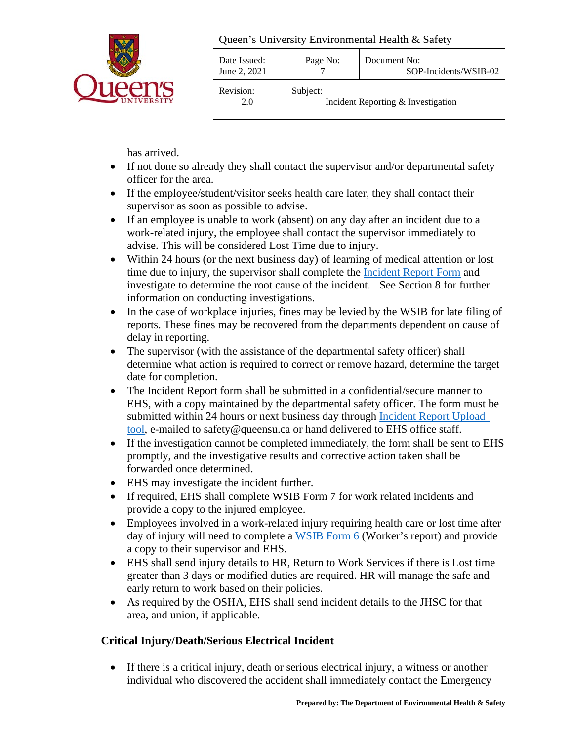

| Date Issued:<br>June 2, 2021 | Page No: | Document No:<br>SOP-Incidents/WSIB-02 |
|------------------------------|----------|---------------------------------------|
| Revision:<br>2.0             | Subject: | Incident Reporting & Investigation    |

has arrived.

- If not done so already they shall contact the supervisor and/or departmental safety officer for the area.
- If the employee/student/visitor seeks health care later, they shall contact their supervisor as soon as possible to advise.
- If an employee is unable to work (absent) on any day after an incident due to a work-related injury, the employee shall contact the supervisor immediately to advise. This will be considered Lost Time due to injury.
- Within 24 hours (or the next business day) of learning of medical attention or lost time due to injury, the supervisor shall complete the [Incident Report Form](https://safety.queensu.ca/emergency-report-incident) and investigate to determine the root cause of the incident. See Section 8 for further information on conducting investigations.
- In the case of workplace injuries, fines may be levied by the WSIB for late filing of reports. These fines may be recovered from the departments dependent on cause of delay in reporting.
- The supervisor (with the assistance of the departmental safety officer) shall determine what action is required to correct or remove hazard, determine the target date for completion.
- The Incident Report form shall be submitted in a confidential/secure manner to EHS, with a copy maintained by the departmental safety officer. The form must be submitted within 24 hours or next business day through [Incident Report](https://safety.queensu.ca/emergency-report-incident) Upload [tool,](https://safety.queensu.ca/emergency-report-incident) e-mailed to safety@queensu.ca or hand delivered to EHS office staff.
- If the investigation cannot be completed immediately, the form shall be sent to EHS promptly, and the investigative results and corrective action taken shall be forwarded once determined.
- EHS may investigate the incident further.
- If required, EHS shall complete WSIB Form 7 for work related incidents and provide a copy to the injured employee.
- Employees involved in a work-related injury requiring health care or lost time after day of injury will need to complete a [WSIB Form 6](https://www.wsib.ca/en/workers-eform6) (Worker's report) and provide a copy to their supervisor and EHS.
- EHS shall send injury details to HR, Return to Work Services if there is Lost time greater than 3 days or modified duties are required. HR will manage the safe and early return to work based on their policies.
- As required by the OSHA, EHS shall send incident details to the JHSC for that area, and union, if applicable.

# **Critical Injury/Death/Serious Electrical Incident**

• If there is a critical injury, death or serious electrical injury, a witness or another individual who discovered the accident shall immediately contact the Emergency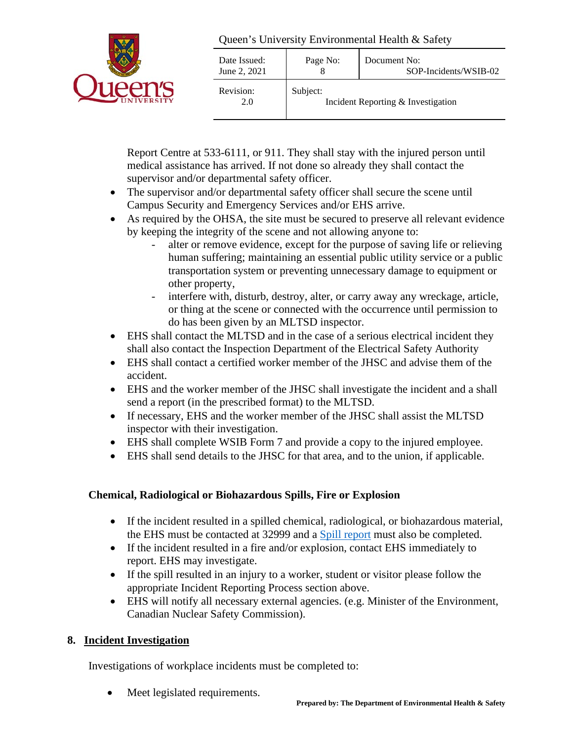

| Date Issued:<br>June 2, 2021 | Page No: | Document No:<br>SOP-Incidents/WSIB-02 |
|------------------------------|----------|---------------------------------------|
| Revision:<br>2.0             | Subject: | Incident Reporting & Investigation    |

Report Centre at 533-6111, or 911. They shall stay with the injured person until medical assistance has arrived. If not done so already they shall contact the supervisor and/or departmental safety officer.

- The supervisor and/or departmental safety officer shall secure the scene until Campus Security and Emergency Services and/or EHS arrive.
- As required by the OHSA, the site must be secured to preserve all relevant evidence by keeping the integrity of the scene and not allowing anyone to:
	- alter or remove evidence, except for the purpose of saving life or relieving human suffering; maintaining an essential public utility service or a public transportation system or preventing unnecessary damage to equipment or other property,
	- interfere with, disturb, destroy, alter, or carry away any wreckage, article, or thing at the scene or connected with the occurrence until permission to do has been given by an MLTSD inspector.
- EHS shall contact the MLTSD and in the case of a serious electrical incident they shall also contact the Inspection Department of the Electrical Safety Authority
- EHS shall contact a certified worker member of the JHSC and advise them of the accident.
- EHS and the worker member of the JHSC shall investigate the incident and a shall send a report (in the prescribed format) to the MLTSD.
- If necessary, EHS and the worker member of the JHSC shall assist the MLTSD inspector with their investigation.
- EHS shall complete WSIB Form 7 and provide a copy to the injured employee.
- EHS shall send details to the JHSC for that area, and to the union, if applicable.

# **Chemical, Radiological or Biohazardous Spills, Fire or Explosion**

- If the incident resulted in a spilled chemical, radiological, or biohazardous material, the EHS must be contacted at 32999 and a [Spill report](https://safety.queensu.ca/spill-report) must also be completed.
- If the incident resulted in a fire and/or explosion, contact EHS immediately to report. EHS may investigate.
- If the spill resulted in an injury to a worker, student or visitor please follow the appropriate Incident Reporting Process section above.
- EHS will notify all necessary external agencies. (e.g. Minister of the Environment, Canadian Nuclear Safety Commission).

# **8. Incident Investigation**

Investigations of workplace incidents must be completed to:

Meet legislated requirements.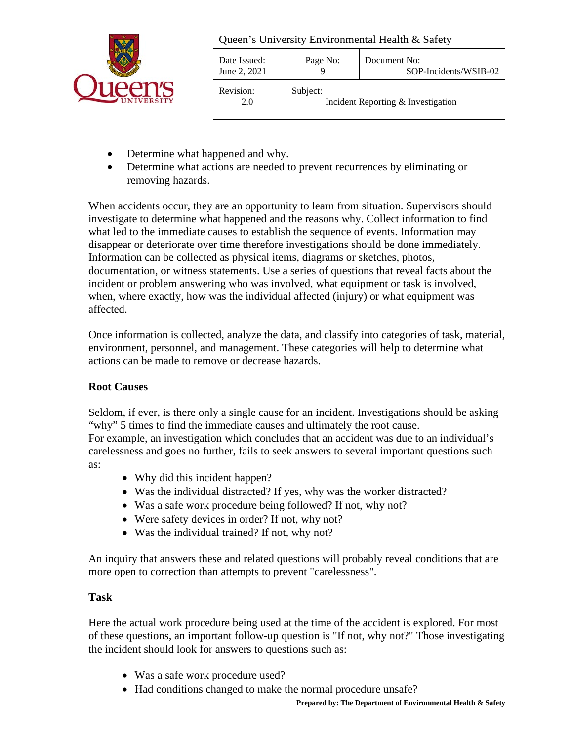

| Date Issued:<br>June 2, 2021 | Page No: | Document No:<br>SOP-Incidents/WSIB-02 |
|------------------------------|----------|---------------------------------------|
| Revision:<br>2.0             | Subject: | Incident Reporting & Investigation    |

- Determine what happened and why.
- Determine what actions are needed to prevent recurrences by eliminating or removing hazards.

When accidents occur, they are an opportunity to learn from situation. Supervisors should investigate to determine what happened and the reasons why. Collect information to find what led to the immediate causes to establish the sequence of events. Information may disappear or deteriorate over time therefore investigations should be done immediately. Information can be collected as physical items, diagrams or sketches, photos, documentation, or witness statements. Use a series of questions that reveal facts about the incident or problem answering who was involved, what equipment or task is involved, when, where exactly, how was the individual affected (injury) or what equipment was affected.

Once information is collected, analyze the data, and classify into categories of task, material, environment, personnel, and management. These categories will help to determine what actions can be made to remove or decrease hazards.

# **Root Causes**

Seldom, if ever, is there only a single cause for an incident. Investigations should be asking "why" 5 times to find the immediate causes and ultimately the root cause. For example, an investigation which concludes that an accident was due to an individual's carelessness and goes no further, fails to seek answers to several important questions such as:

- Why did this incident happen?
- Was the individual distracted? If yes, why was the worker distracted?
- Was a safe work procedure being followed? If not, why not?
- Were safety devices in order? If not, why not?
- Was the individual trained? If not, why not?

An inquiry that answers these and related questions will probably reveal conditions that are more open to correction than attempts to prevent "carelessness".

## **Task**

Here the actual work procedure being used at the time of the accident is explored. For most of these questions, an important follow-up question is "If not, why not?" Those investigating the incident should look for answers to questions such as:

- Was a safe work procedure used?
- Had conditions changed to make the normal procedure unsafe?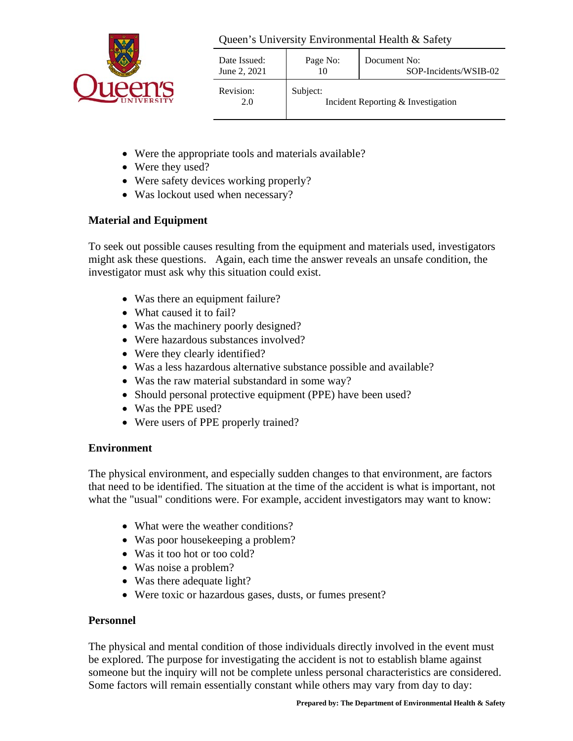

| Date Issued:<br>June 2, 2021 | Page No: | Document No:<br>SOP-Incidents/WSIB-02 |
|------------------------------|----------|---------------------------------------|
| Revision:<br>2.0             | Subject: | Incident Reporting & Investigation    |

- Were the appropriate tools and materials available?
- Were they used?
- Were safety devices working properly?
- Was lockout used when necessary?

## **Material and Equipment**

To seek out possible causes resulting from the equipment and materials used, investigators might ask these questions. Again, each time the answer reveals an unsafe condition, the investigator must ask why this situation could exist.

- Was there an equipment failure?
- What caused it to fail?
- Was the machinery poorly designed?
- Were hazardous substances involved?
- Were they clearly identified?
- Was a less hazardous alternative substance possible and available?
- Was the raw material substandard in some way?
- Should personal protective equipment (PPE) have been used?
- Was the PPE used?
- Were users of PPE properly trained?

## **Environment**

The physical environment, and especially sudden changes to that environment, are factors that need to be identified. The situation at the time of the accident is what is important, not what the "usual" conditions were. For example, accident investigators may want to know:

- What were the weather conditions?
- Was poor house keeping a problem?
- Was it too hot or too cold?
- Was noise a problem?
- Was there adequate light?
- Were toxic or hazardous gases, dusts, or fumes present?

## **Personnel**

The physical and mental condition of those individuals directly involved in the event must be explored. The purpose for investigating the accident is not to establish blame against someone but the inquiry will not be complete unless personal characteristics are considered. Some factors will remain essentially constant while others may vary from day to day: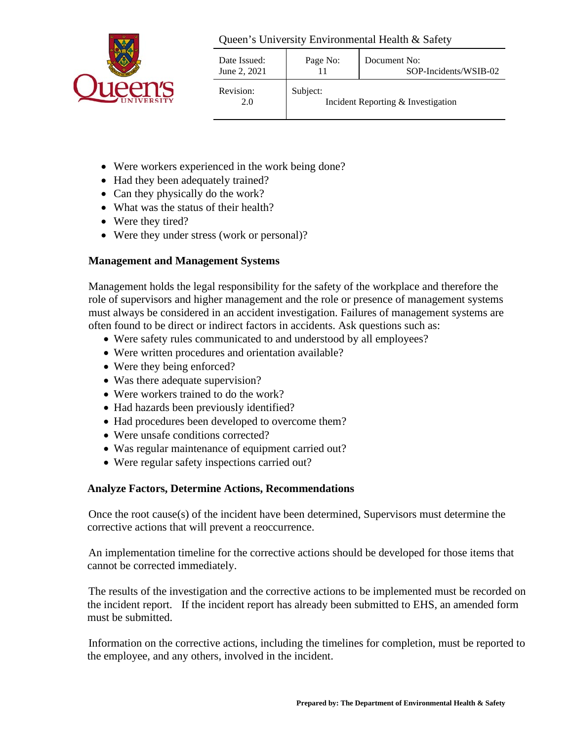

| Date Issued:<br>June 2, 2021 | Page No: | Document No:<br>SOP-Incidents/WSIB-02 |
|------------------------------|----------|---------------------------------------|
| Revision:<br>2.0             | Subject: | Incident Reporting & Investigation    |

- Were workers experienced in the work being done?
- Had they been adequately trained?
- Can they physically do the work?
- What was the status of their health?
- Were they tired?
- Were they under stress (work or personal)?

## **Management and Management Systems**

Management holds the legal responsibility for the safety of the workplace and therefore the role of supervisors and higher management and the role or presence of management systems must always be considered in an accident investigation. Failures of management systems are often found to be direct or indirect factors in accidents. Ask questions such as:

- Were safety rules communicated to and understood by all employees?
- Were written procedures and orientation available?
- Were they being enforced?
- Was there adequate supervision?
- Were workers trained to do the work?
- Had hazards been previously identified?
- Had procedures been developed to overcome them?
- Were unsafe conditions corrected?
- Was regular maintenance of equipment carried out?
- Were regular safety inspections carried out?

## **Analyze Factors, Determine Actions, Recommendations**

Once the root cause(s) of the incident have been determined, Supervisors must determine the corrective actions that will prevent a reoccurrence.

An implementation timeline for the corrective actions should be developed for those items that cannot be corrected immediately.

The results of the investigation and the corrective actions to be implemented must be recorded on the incident report. If the incident report has already been submitted to EHS, an amended form must be submitted.

Information on the corrective actions, including the timelines for completion, must be reported to the employee, and any others, involved in the incident.